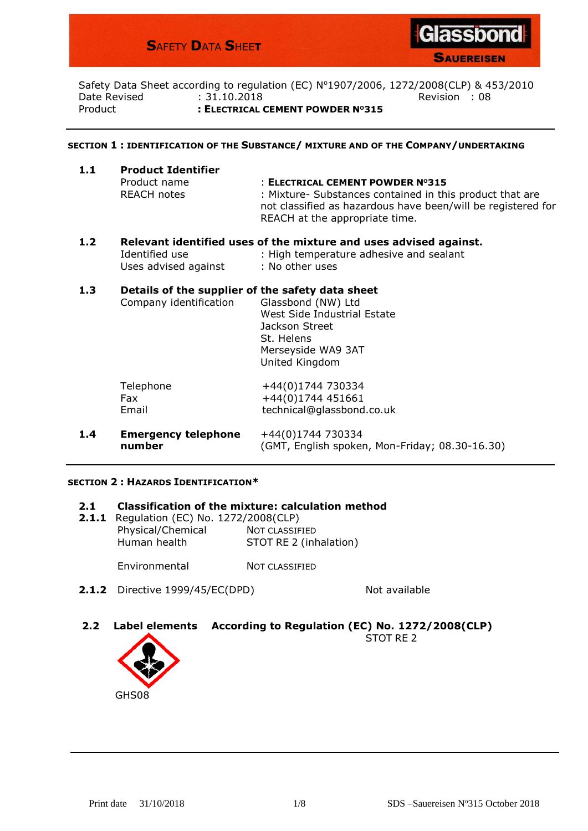# **S**AFETY **D**ATA **S**HEE**T**



**SAUEREISEN** 

Safety Data Sheet according to regulation (EC) Nº1907/2006, 1272/2008(CLP) & 453/2010 Date Revised  $\qquad \qquad : 31.10.2018$  Revision : 08 Product **: ELECTRICAL CEMENT POWDER NO315**

#### **SECTION 1 : IDENTIFICATION OF THE SUBSTANCE/ MIXTURE AND OF THE COMPANY/UNDERTAKING**

| 1.1 | <b>Product Identifier</b> |                                                                                                                                                            |
|-----|---------------------------|------------------------------------------------------------------------------------------------------------------------------------------------------------|
|     | Product name              | : ELECTRICAL CEMENT POWDER Nº315                                                                                                                           |
|     | REACH notes               | : Mixture- Substances contained in this product that are<br>not classified as hazardous have been/will be registered for<br>REACH at the appropriate time. |

**1.2 Relevant identified uses of the mixture and uses advised against.** Identified use : High temperature adhesive and sealant Uses advised against : No other uses

## **1.3 Details of the supplier of the safety data sheet**

|     | Company identification               | Glassbond (NW) Ltd<br>West Side Industrial Estate<br>Jackson Street<br>St. Helens<br>Merseyside WA9 3AT<br>United Kingdom |
|-----|--------------------------------------|---------------------------------------------------------------------------------------------------------------------------|
|     | Telephone<br>Fax<br>Email            | +44(0)1744 730334<br>+44(0)1744 451661<br>technical@glassbond.co.uk                                                       |
| 1.4 | <b>Emergency telephone</b><br>number | +44(0)1744 730334<br>(GMT, English spoken, Mon-Friday; 08.30-16.30)                                                       |

#### **SECTION 2 : HAZARDS IDENTIFICATION\***

#### **2.1 Classification of the mixture: calculation method**

**2.1.1** Regulation (EC) No. 1272/2008(CLP) Physical/Chemical NOT CLASSIFIED Human health STOT RE 2 (inhalation)

Environmental NOT CLASSIFIED

**2.1.2** Directive 1999/45/EC(DPD) Not available

**2.2 Label elements According to Regulation (EC) No. 1272/2008(CLP)** STOT RF<sub>2</sub>

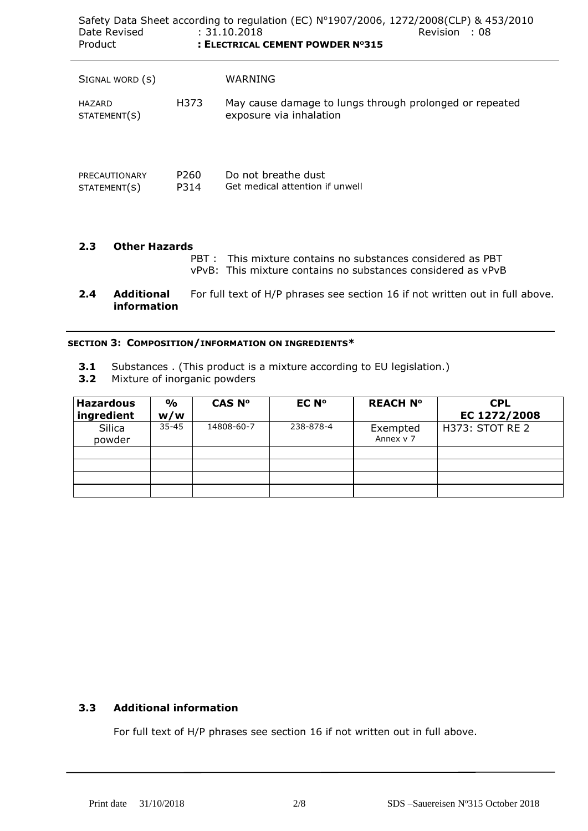| Date Revised<br><b>Product</b> |                          | Safety Data Sheet according to regulation (EC) Nº1907/2006, 1272/2008(CLP) & 453/2010<br>: 31.10.2018<br>Revision : 08<br>: ELECTRICAL CEMENT POWDER Nº315 |
|--------------------------------|--------------------------|------------------------------------------------------------------------------------------------------------------------------------------------------------|
| SIGNAL WORD (S)                |                          | WARNING                                                                                                                                                    |
| HAZARD<br>STATEMENT(S)         | H373                     | May cause damage to lungs through prolonged or repeated<br>exposure via inhalation                                                                         |
| PRECAUTIONARY<br>STATEMENT(S)  | P <sub>260</sub><br>P314 | Do not breathe dust<br>Get medical attention if unwell                                                                                                     |

#### **2.3 Other Hazards** PBT : This mixture contains no substances considered as PBT

vPvB: This mixture contains no substances considered as vPvB

**2.4 Additional** For full text of H/P phrases see section 16 if not written out in full above. **information**

### **SECTION 3: COMPOSITION/INFORMATION ON INGREDIENTS\***

- **3.1** Substances . (This product is a mixture according to EU legislation.)
- **3.2** Mixture of inorganic powders

| <b>Hazardous</b><br>ingredient | $\frac{1}{\alpha}$<br>w/w | CAS Nº     | EC N°     | <b>REACH Nº</b>       | <b>CPL</b><br>EC 1272/2008 |
|--------------------------------|---------------------------|------------|-----------|-----------------------|----------------------------|
| Silica<br>powder               | $35 - 45$                 | 14808-60-7 | 238-878-4 | Exempted<br>Annex v 7 | H373: STOT RE 2            |
|                                |                           |            |           |                       |                            |
|                                |                           |            |           |                       |                            |
|                                |                           |            |           |                       |                            |

## **3.3 Additional information**

For full text of H/P phrases see section 16 if not written out in full above.

 $\overline{a}$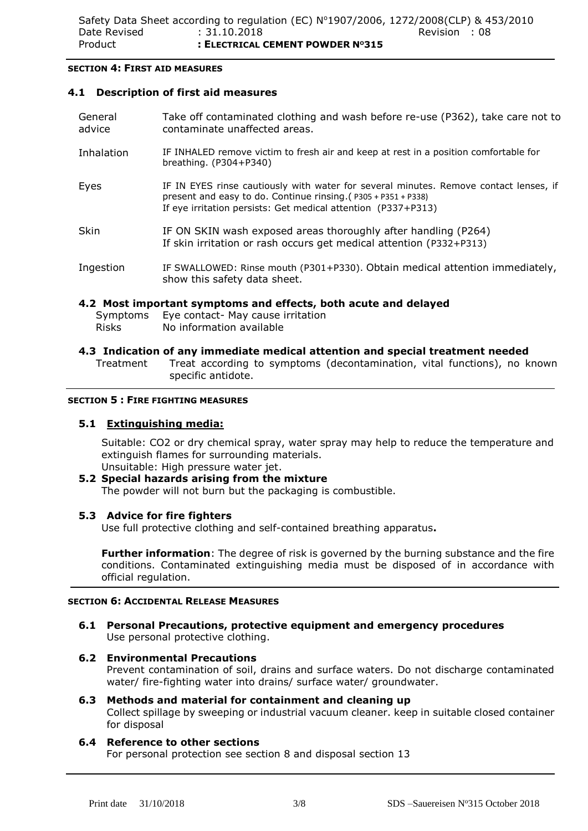#### **SECTION 4: FIRST AID MEASURES**

### **4.1 Description of first aid measures**

| 4.2 Most important symptoms and effects, both acute and delayed |                                                                                                                                                                                                                              |  |  |  |
|-----------------------------------------------------------------|------------------------------------------------------------------------------------------------------------------------------------------------------------------------------------------------------------------------------|--|--|--|
| Ingestion                                                       | IF SWALLOWED: Rinse mouth (P301+P330). Obtain medical attention immediately,<br>show this safety data sheet.                                                                                                                 |  |  |  |
| <b>Skin</b>                                                     | IF ON SKIN wash exposed areas thoroughly after handling (P264)<br>If skin irritation or rash occurs get medical attention (P332+P313)                                                                                        |  |  |  |
| Eyes                                                            | IF IN EYES rinse cautiously with water for several minutes. Remove contact lenses, if<br>present and easy to do. Continue rinsing. ( $P305 + P351 + P338$ )<br>If eye irritation persists: Get medical attention (P337+P313) |  |  |  |
| Inhalation                                                      | IF INHALED remove victim to fresh air and keep at rest in a position comfortable for<br>breathing. $(P304+P340)$                                                                                                             |  |  |  |
| General<br>advice                                               | Take off contaminated clothing and wash before re-use (P362), take care not to<br>contaminate unaffected areas.                                                                                                              |  |  |  |

## **4.2 Most important symptoms and effects, both acute and delayed**

- Symptoms Eye contact- May cause irritation Risks No information available
- **4.3 Indication of any immediate medical attention and special treatment needed** Treatment Treat according to symptoms (decontamination, vital functions), no known specific antidote.

### **SECTION 5 : FIRE FIGHTING MEASURES**

### **5.1 Extinguishing media:**

Suitable: CO2 or dry chemical spray, water spray may help to reduce the temperature and extinguish flames for surrounding materials.

Unsuitable: High pressure water jet.

#### **5.2 Special hazards arising from the mixture** The powder will not burn but the packaging is combustible.

## **5.3 Advice for fire fighters**

Use full protective clothing and self-contained breathing apparatus**.**

**Further information**: The degree of risk is governed by the burning substance and the fire conditions. Contaminated extinguishing media must be disposed of in accordance with official regulation.

### **SECTION 6: ACCIDENTAL RELEASE MEASURES**

**6.1 Personal Precautions, protective equipment and emergency procedures** Use personal protective clothing.

## **6.2 Environmental Precautions**

Prevent contamination of soil, drains and surface waters. Do not discharge contaminated water/ fire-fighting water into drains/ surface water/ groundwater.

#### **6.3 Methods and material for containment and cleaning up** Collect spillage by sweeping or industrial vacuum cleaner. keep in suitable closed container for disposal

## **6.4 Reference to other sections**

For personal protection see section 8 and disposal section 13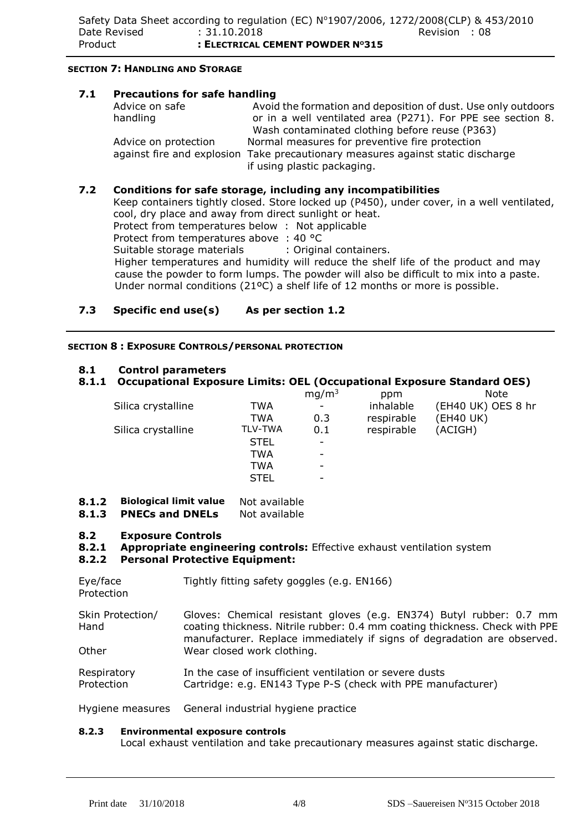#### **SECTION 7: HANDLING AND STORAGE**

### **7.1 Precautions for safe handling**

| Advice on safe       | Avoid the formation and deposition of dust. Use only outdoors                   |
|----------------------|---------------------------------------------------------------------------------|
| handling             | or in a well ventilated area (P271). For PPE see section 8.                     |
|                      | Wash contaminated clothing before reuse (P363)                                  |
| Advice on protection | Normal measures for preventive fire protection                                  |
|                      | against fire and explosion Take precautionary measures against static discharge |
|                      | if using plastic packaging.                                                     |

## **7.2 Conditions for safe storage, including any incompatibilities**

Keep containers tightly closed. Store locked up (P450), under cover, in a well ventilated, cool, dry place and away from direct sunlight or heat.

Protect from temperatures below : Not applicable

Protect from temperatures above : 40 °C

Suitable storage materials : Original containers.

 Higher temperatures and humidity will reduce the shelf life of the product and may cause the powder to form lumps. The powder will also be difficult to mix into a paste. Under normal conditions (21ºC) a shelf life of 12 months or more is possible.

## **7.3 Specific end use(s) As per section 1.2**

### **SECTION 8 : EXPOSURE CONTROLS/PERSONAL PROTECTION**

## **8.1 Control parameters**

## **8.1.1 Occupational Exposure Limits: OEL (Occupational Exposure Standard OES)**

|                    |                | mg/m <sup>3</sup>        | ppm        | Note               |
|--------------------|----------------|--------------------------|------------|--------------------|
| Silica crystalline | TWA            | $\overline{\phantom{a}}$ | inhalable  | (EH40 UK) OES 8 hr |
|                    | TWA            | 0.3                      | respirable | (EH40 UK)          |
| Silica crystalline | <b>TLV-TWA</b> | 0.1                      | respirable | (ACIGH)            |
|                    | <b>STEL</b>    | ۰                        |            |                    |
|                    | <b>TWA</b>     | -                        |            |                    |
|                    | <b>TWA</b>     | -                        |            |                    |
|                    | <b>STEL</b>    |                          |            |                    |
|                    |                |                          |            |                    |

## **8.1.2 Biological limit value** Not available

**8.1.3 PNECs and DNELs** Not available

### **8.2 Exposure Controls**

**8.2.1 Appropriate engineering controls:** Effective exhaust ventilation system

### **8.2.2 Personal Protective Equipment:**

Eye/face Tightly fitting safety goggles (e.g. EN166)

Protection

Skin Protection/ Hand **Other** Gloves: Chemical resistant gloves (e.g. EN374) Butyl rubber: 0.7 mm coating thickness. Nitrile rubber: 0.4 mm coating thickness. Check with PPE manufacturer. Replace immediately if signs of degradation are observed. Wear closed work clothing.

**Respiratory** Protection In the case of insufficient ventilation or severe dusts Cartridge: e.g. EN143 Type P-S (check with PPE manufacturer)

Hygiene measures General industrial hygiene practice

### **8.2.3 Environmental exposure controls**

Local exhaust ventilation and take precautionary measures against static discharge.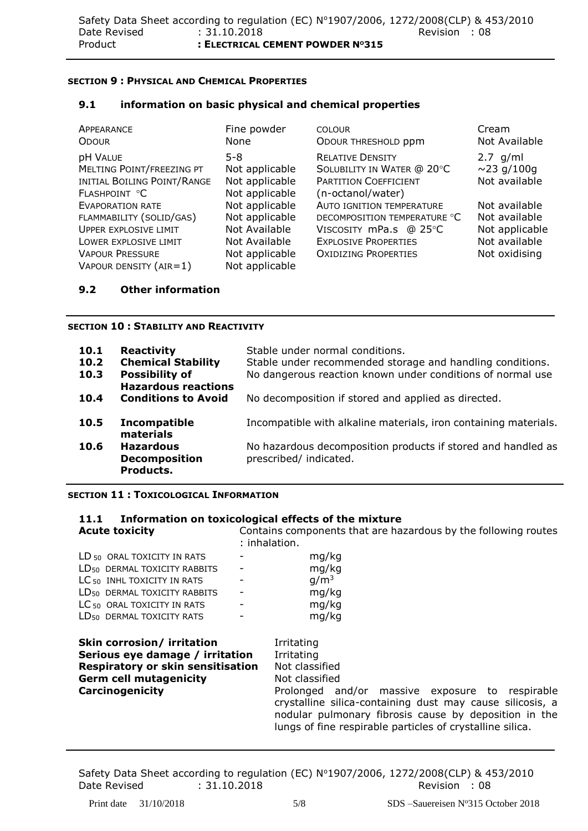### **SECTION 9 : PHYSICAL AND CHEMICAL PROPERTIES**

## **9.1 information on basic physical and chemical properties**

| APPEARANCE<br><b>ODOUR</b>                                                                                                                                       | Fine powder<br>None                                                                                    | <b>COLOUR</b><br>ODOUR THRESHOLD ppm                                                                                                                     | Cream<br>Not Available                                                             |
|------------------------------------------------------------------------------------------------------------------------------------------------------------------|--------------------------------------------------------------------------------------------------------|----------------------------------------------------------------------------------------------------------------------------------------------------------|------------------------------------------------------------------------------------|
| <b>pH VALUE</b><br>MELTING POINT/FREEZING PT<br>INITIAL BOILING POINT/RANGE<br>FLASHPOINT °C                                                                     | $5 - 8$<br>Not applicable<br>Not applicable<br>Not applicable                                          | <b>RELATIVE DENSITY</b><br>SOLUBILITY IN WATER @ 20°C<br>PARTITION COEFFICIENT<br>(n-octanol/water)                                                      | $2.7$ g/ml<br>$\sim$ 23 g/100g<br>Not available                                    |
| <b>EVAPORATION RATE</b><br>FLAMMABILITY (SOLID/GAS)<br><b>UPPER EXPLOSIVE LIMIT</b><br>LOWER EXPLOSIVE LIMIT<br><b>VAPOUR PRESSURE</b><br>VAPOUR DENSITY (AIR=1) | Not applicable<br>Not applicable<br>Not Available<br>Not Available<br>Not applicable<br>Not applicable | <b>AUTO IGNITION TEMPERATURE</b><br>DECOMPOSITION TEMPERATURE °C<br>VISCOSITY mPa.s @ 25°C<br><b>EXPLOSIVE PROPERTIES</b><br><b>OXIDIZING PROPERTIES</b> | Not available<br>Not available<br>Not applicable<br>Not available<br>Not oxidising |

### **9.2 Other information**

#### **SECTION 10 : STABILITY AND REACTIVITY**

| 10.1<br>10.2<br>10.3 | <b>Reactivity</b><br><b>Chemical Stability</b><br><b>Possibility of</b><br><b>Hazardous reactions</b> | Stable under normal conditions.<br>Stable under recommended storage and handling conditions.<br>No dangerous reaction known under conditions of normal use |
|----------------------|-------------------------------------------------------------------------------------------------------|------------------------------------------------------------------------------------------------------------------------------------------------------------|
| 10.4                 | <b>Conditions to Avoid</b>                                                                            | No decomposition if stored and applied as directed.                                                                                                        |
| 10.5                 | Incompatible<br>materials                                                                             | Incompatible with alkaline materials, iron containing materials.                                                                                           |
| 10.6                 | <b>Hazardous</b><br><b>Decomposition</b><br>Products.                                                 | No hazardous decomposition products if stored and handled as<br>prescribed/ indicated.                                                                     |

### **SECTION 11 : TOXICOLOGICAL INFORMATION**

#### **11.1 Information on toxicological effects of the mixture Acute toxicity** Contains components that are hazardous by the following routes

|                                                                                                                                                                      | : inhalation. |                                                                                                                                                                                                                                                                                                    |
|----------------------------------------------------------------------------------------------------------------------------------------------------------------------|---------------|----------------------------------------------------------------------------------------------------------------------------------------------------------------------------------------------------------------------------------------------------------------------------------------------------|
| LD <sub>50</sub> ORAL TOXICITY IN RATS                                                                                                                               |               | mg/kg                                                                                                                                                                                                                                                                                              |
| LD <sub>50</sub> DERMAL TOXICITY RABBITS                                                                                                                             |               | mg/kg                                                                                                                                                                                                                                                                                              |
| LC <sub>50</sub> INHL TOXICITY IN RATS                                                                                                                               |               | g/m <sup>3</sup>                                                                                                                                                                                                                                                                                   |
| LD <sub>50</sub> DERMAL TOXICITY RABBITS                                                                                                                             |               | mg/kg                                                                                                                                                                                                                                                                                              |
| LC <sub>50</sub> ORAL TOXICITY IN RATS                                                                                                                               | -             | mg/kg                                                                                                                                                                                                                                                                                              |
| LD <sub>50</sub> DERMAL TOXICITY RATS                                                                                                                                |               | mg/kg                                                                                                                                                                                                                                                                                              |
| <b>Skin corrosion/ irritation</b><br>Serious eye damage / irritation<br><b>Respiratory or skin sensitisation</b><br><b>Germ cell mutagenicity</b><br>Carcinogenicity |               | Irritating<br>Irritating<br>Not classified<br>Not classified<br>Prolonged and/or massive exposure to respirable<br>crystalline silica-containing dust may cause silicosis, a<br>nodular pulmonary fibrosis cause by deposition in the<br>lungs of fine respirable particles of crystalline silica. |

Safety Data Sheet according to regulation (EC)  $N^{\circ}1907/2006$ ,  $1272/2008$ (CLP) & 453/2010<br>Date Revised : 31.10.2018 Revision : 08 Date Revised : 31.10.2018 Revision : 08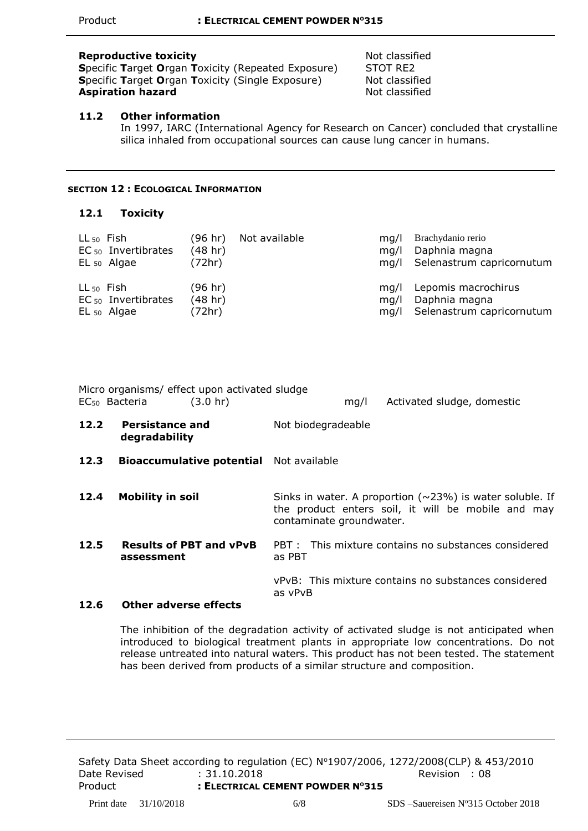#### **Reproductive toxicity** Not classified

**S**pecific **T**arget **O**rgan **T**oxicity (Repeated Exposure) STOT RE2 **Specific Target Organ Toxicity (Single Exposure) Not classified Aspiration hazard** Not classified

## **11.2 Other information**

In 1997, IARC (International Agency for Research on Cancer) concluded that crystalline silica inhaled from occupational sources can cause lung cancer in humans.

#### **SECTION 12 : ECOLOGICAL INFORMATION**

### **12.1 Toxicity**

| $LL_{50}$ Fish | $EC_{50}$ Invertibrates<br>$EL_{50}$ Algae | (96 hr)<br>(48 hr)<br>(72hr) | Not available | ma/l<br>ma/l | Brachydanio rerio<br>Daphnia magna<br>mg/l Selenastrum capricornutum   |
|----------------|--------------------------------------------|------------------------------|---------------|--------------|------------------------------------------------------------------------|
| $LL_{50}$ Fish | $EC_{50}$ Invertibrates<br>$EL_{50}$ Algae | (96 hr)<br>(48 hr)<br>(72hr) |               | ma/l<br>ma/l | Lepomis macrochirus<br>Daphnia magna<br>mg/l Selenastrum capricornutum |

|      | Micro organisms/ effect upon activated sludge<br>EC <sub>50</sub> Bacteria<br>$(3.0 \text{ hr})$ | Activated sludge, domestic<br>mq/l                                                                                                                |
|------|--------------------------------------------------------------------------------------------------|---------------------------------------------------------------------------------------------------------------------------------------------------|
| 12.2 | <b>Persistance and</b><br>degradability                                                          | Not biodegradeable                                                                                                                                |
| 12.3 | <b>Bioaccumulative potential</b> Not available                                                   |                                                                                                                                                   |
| 12.4 | <b>Mobility in soil</b>                                                                          | Sinks in water. A proportion ( $\sim$ 23%) is water soluble. If<br>the product enters soil, it will be mobile and may<br>contaminate groundwater. |
| 12.5 | <b>Results of PBT and vPvB</b><br>assessment                                                     | PBT: This mixture contains no substances considered<br>as PBT                                                                                     |
| 12.6 | Other adverse effects                                                                            | vPvB: This mixture contains no substances considered<br>as vPvB                                                                                   |

### The inhibition of the degradation activity of activated sludge is not anticipated when introduced to biological treatment plants in appropriate low concentrations. Do not release untreated into natural waters. This product has not been tested. The statement has been derived from products of a similar structure and composition.

Safety Data Sheet according to regulation (EC) Nº1907/2006, 1272/2008(CLP) & 453/2010 Date Revised : 31.10.2018 2012 12:00:00 Revision : 08 Product **: ELECTRICAL CEMENT POWDER NO315**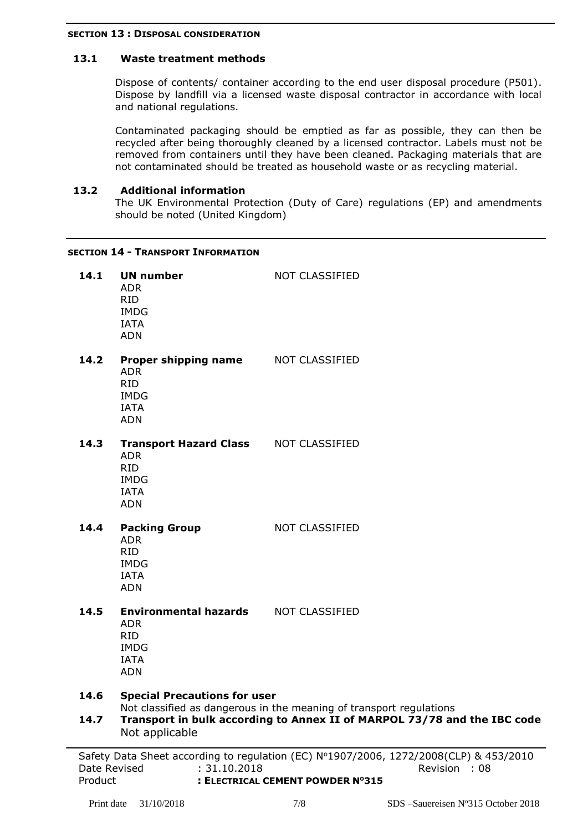#### **SECTION 13 : DISPOSAL CONSIDERATION**

## **13.1 Waste treatment methods**

Dispose of contents/ container according to the end user disposal procedure (P501). Dispose by landfill via a licensed waste disposal contractor in accordance with local and national regulations.

Contaminated packaging should be emptied as far as possible, they can then be recycled after being thoroughly cleaned by a licensed contractor. Labels must not be removed from containers until they have been cleaned. Packaging materials that are not contaminated should be treated as household waste or as recycling material.

### **13.2 Additional information**

The UK Environmental Protection (Duty of Care) regulations (EP) and amendments should be noted (United Kingdom)

### **SECTION 14 - TRANSPORT INFORMATION**

| 14.1         | <b>UN number</b><br><b>ADR</b><br><b>RID</b><br><b>IMDG</b><br><b>IATA</b><br><b>ADN</b>                                                                                                                 | <b>NOT CLASSIFIED</b>                                                                                                            |
|--------------|----------------------------------------------------------------------------------------------------------------------------------------------------------------------------------------------------------|----------------------------------------------------------------------------------------------------------------------------------|
| 14.2         | Proper shipping name<br><b>ADR</b><br><b>RID</b><br><b>IMDG</b><br><b>IATA</b><br><b>ADN</b>                                                                                                             | NOT CLASSIFIED                                                                                                                   |
| 14.3         | <b>Transport Hazard Class</b><br><b>ADR</b><br><b>RID</b><br><b>IMDG</b><br><b>IATA</b><br><b>ADN</b>                                                                                                    | <b>NOT CLASSIFIED</b>                                                                                                            |
| 14.4         | <b>Packing Group</b><br><b>ADR</b><br><b>RID</b><br><b>IMDG</b><br><b>IATA</b><br><b>ADN</b>                                                                                                             | <b>NOT CLASSIFIED</b>                                                                                                            |
| 14.5         | <b>Environmental hazards</b><br><b>ADR</b><br><b>RID</b><br><b>IMDG</b><br><b>IATA</b><br><b>ADN</b>                                                                                                     | <b>NOT CLASSIFIED</b>                                                                                                            |
| 14.6<br>14.7 | <b>Special Precautions for user</b><br>Not classified as dangerous in the meaning of transport regulations<br>Transport in bulk according to Annex II of MARPOL 73/78 and the IBC code<br>Not applicable |                                                                                                                                  |
|              | $Date\ Devized$ $.21, 10, 2010$                                                                                                                                                                          | Safety Data Sheet according to regulation (EC) Nº1907/2006, 1272/2008(CLP) & 453/2010<br>$D$ and $D$ and $D$ and $D$ and $D$ $D$ |

8(CLP) & 453/2010 Date Revised : 31.10.2018 Revision : 08 Product **: ELECTRICAL CEMENT POWDER NO315**